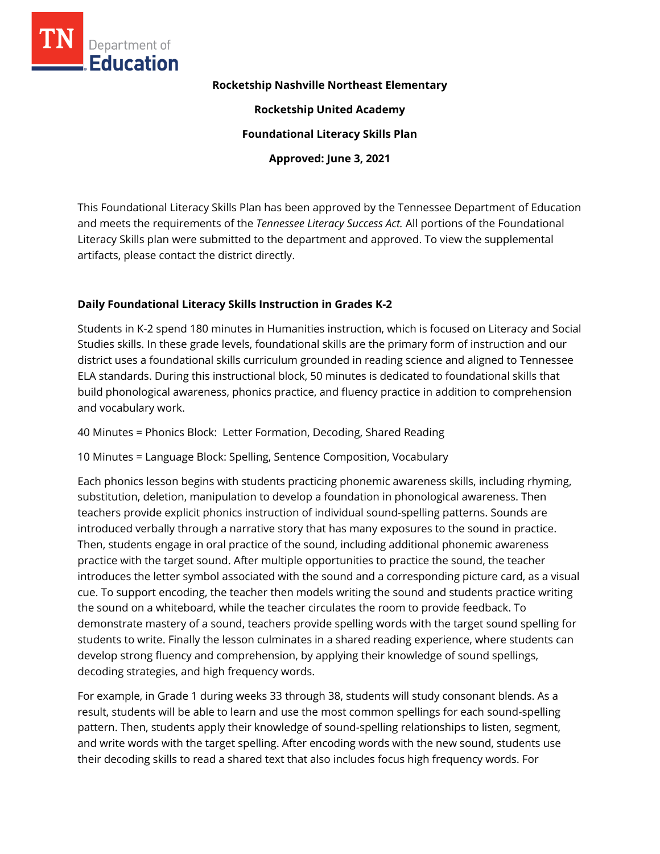

#### **Rocketship Nashville Northeast Elementary**

**Rocketship United Academy**

**Foundational Literacy Skills Plan**

**Approved: June 3, 2021**

This Foundational Literacy Skills Plan has been approved by the Tennessee Department of Education and meets the requirements of the *Tennessee Literacy Success Act.* All portions of the Foundational Literacy Skills plan were submitted to the department and approved. To view the supplemental artifacts, please contact the district directly.

## **Daily Foundational Literacy Skills Instruction in Grades K-2**

Students in K-2 spend 180 minutes in Humanities instruction, which is focused on Literacy and Social Studies skills. In these grade levels, foundational skills are the primary form of instruction and our district uses a foundational skills curriculum grounded in reading science and aligned to Tennessee ELA standards. During this instructional block, 50 minutes is dedicated to foundational skills that build phonological awareness, phonics practice, and fluency practice in addition to comprehension and vocabulary work.

40 Minutes = Phonics Block: Letter Formation, Decoding, Shared Reading

10 Minutes = Language Block: Spelling, Sentence Composition, Vocabulary

Each phonics lesson begins with students practicing phonemic awareness skills, including rhyming, substitution, deletion, manipulation to develop a foundation in phonological awareness. Then teachers provide explicit phonics instruction of individual sound-spelling patterns. Sounds are introduced verbally through a narrative story that has many exposures to the sound in practice. Then, students engage in oral practice of the sound, including additional phonemic awareness practice with the target sound. After multiple opportunities to practice the sound, the teacher introduces the letter symbol associated with the sound and a corresponding picture card, as a visual cue. To support encoding, the teacher then models writing the sound and students practice writing the sound on a whiteboard, while the teacher circulates the room to provide feedback. To demonstrate mastery of a sound, teachers provide spelling words with the target sound spelling for students to write. Finally the lesson culminates in a shared reading experience, where students can develop strong fluency and comprehension, by applying their knowledge of sound spellings, decoding strategies, and high frequency words.

For example, in Grade 1 during weeks 33 through 38, students will study consonant blends. As a result, students will be able to learn and use the most common spellings for each sound-spelling pattern. Then, students apply their knowledge of sound-spelling relationships to listen, segment, and write words with the target spelling. After encoding words with the new sound, students use their decoding skills to read a shared text that also includes focus high frequency words. For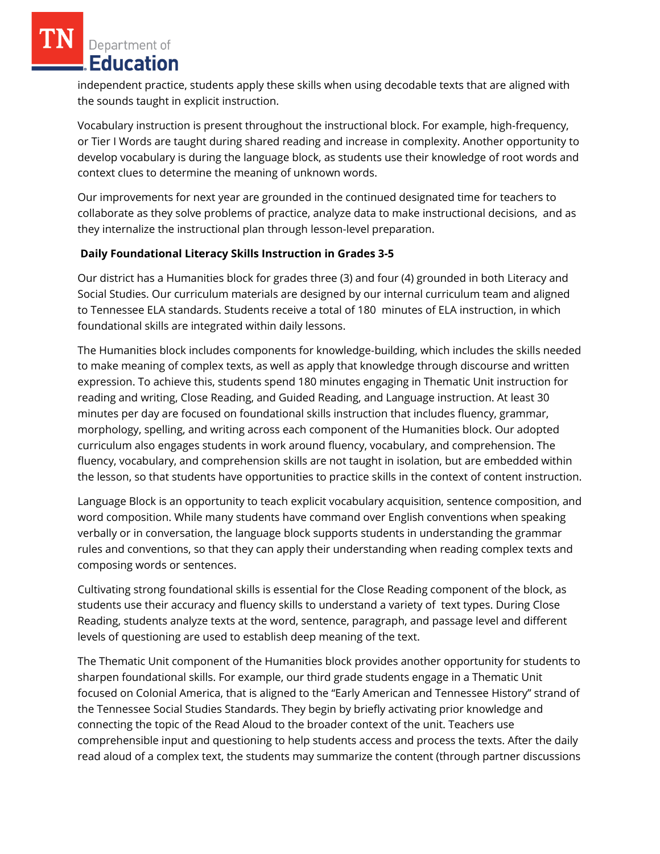independent practice, students apply these skills when using decodable texts that are aligned with the sounds taught in explicit instruction.

Vocabulary instruction is present throughout the instructional block. For example, high-frequency, or Tier I Words are taught during shared reading and increase in complexity. Another opportunity to develop vocabulary is during the language block, as students use their knowledge of root words and context clues to determine the meaning of unknown words.

Our improvements for next year are grounded in the continued designated time for teachers to collaborate as they solve problems of practice, analyze data to make instructional decisions, and as they internalize the instructional plan through lesson-level preparation.

## **Daily Foundational Literacy Skills Instruction in Grades 3-5**

Our district has a Humanities block for grades three (3) and four (4) grounded in both Literacy and Social Studies. Our curriculum materials are designed by our internal curriculum team and aligned to Tennessee ELA standards. Students receive a total of 180 minutes of ELA instruction, in which foundational skills are integrated within daily lessons.

The Humanities block includes components for knowledge-building, which includes the skills needed to make meaning of complex texts, as well as apply that knowledge through discourse and written expression. To achieve this, students spend 180 minutes engaging in Thematic Unit instruction for reading and writing, Close Reading, and Guided Reading, and Language instruction. At least 30 minutes per day are focused on foundational skills instruction that includes fluency, grammar, morphology, spelling, and writing across each component of the Humanities block. Our adopted curriculum also engages students in work around fluency, vocabulary, and comprehension. The fluency, vocabulary, and comprehension skills are not taught in isolation, but are embedded within the lesson, so that students have opportunities to practice skills in the context of content instruction.

Language Block is an opportunity to teach explicit vocabulary acquisition, sentence composition, and word composition. While many students have command over English conventions when speaking verbally or in conversation, the language block supports students in understanding the grammar rules and conventions, so that they can apply their understanding when reading complex texts and composing words or sentences.

Cultivating strong foundational skills is essential for the Close Reading component of the block, as students use their accuracy and fluency skills to understand a variety of text types. During Close Reading, students analyze texts at the word, sentence, paragraph, and passage level and different levels of questioning are used to establish deep meaning of the text.

The Thematic Unit component of the Humanities block provides another opportunity for students to sharpen foundational skills. For example, our third grade students engage in a Thematic Unit focused on Colonial America, that is aligned to the "Early American and Tennessee History" strand of the Tennessee Social Studies Standards. They begin by briefly activating prior knowledge and connecting the topic of the Read Aloud to the broader context of the unit. Teachers use comprehensible input and questioning to help students access and process the texts. After the daily read aloud of a complex text, the students may summarize the content (through partner discussions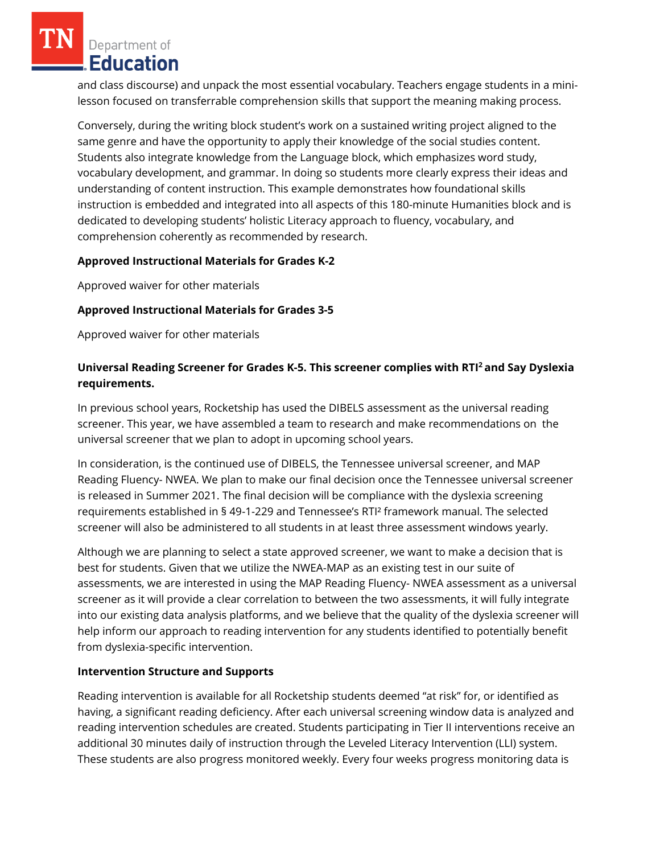and class discourse) and unpack the most essential vocabulary. Teachers engage students in a minilesson focused on transferrable comprehension skills that support the meaning making process.

Conversely, during the writing block student's work on a sustained writing project aligned to the same genre and have the opportunity to apply their knowledge of the social studies content. Students also integrate knowledge from the Language block, which emphasizes word study, vocabulary development, and grammar. In doing so students more clearly express their ideas and understanding of content instruction. This example demonstrates how foundational skills instruction is embedded and integrated into all aspects of this 180-minute Humanities block and is dedicated to developing students' holistic Literacy approach to fluency, vocabulary, and comprehension coherently as recommended by research.

## **Approved Instructional Materials for Grades K-2**

Approved waiver for other materials

## **Approved Instructional Materials for Grades 3-5**

Approved waiver for other materials

# **Universal Reading Screener for Grades K-5. This screener complies with RTI<sup>2</sup>and Say Dyslexia requirements.**

In previous school years, Rocketship has used the DIBELS assessment as the universal reading screener. This year, we have assembled a team to research and make recommendations on the universal screener that we plan to adopt in upcoming school years.

In consideration, is the continued use of DIBELS, the Tennessee universal screener, and MAP Reading Fluency- NWEA. We plan to make our final decision once the Tennessee universal screener is released in Summer 2021. The final decision will be compliance with the dyslexia screening requirements established in § 49-1-229 and Tennessee's RTI² framework manual. The selected screener will also be administered to all students in at least three assessment windows yearly.

Although we are planning to select a state approved screener, we want to make a decision that is best for students. Given that we utilize the NWEA-MAP as an existing test in our suite of assessments, we are interested in using the MAP Reading Fluency- NWEA assessment as a universal screener as it will provide a clear correlation to between the two assessments, it will fully integrate into our existing data analysis platforms, and we believe that the quality of the dyslexia screener will help inform our approach to reading intervention for any students identified to potentially benefit from dyslexia-specific intervention.

#### **Intervention Structure and Supports**

Reading intervention is available for all Rocketship students deemed "at risk" for, or identified as having, a significant reading deficiency. After each universal screening window data is analyzed and reading intervention schedules are created. Students participating in Tier II interventions receive an additional 30 minutes daily of instruction through the Leveled Literacy Intervention (LLI) system. These students are also progress monitored weekly. Every four weeks progress monitoring data is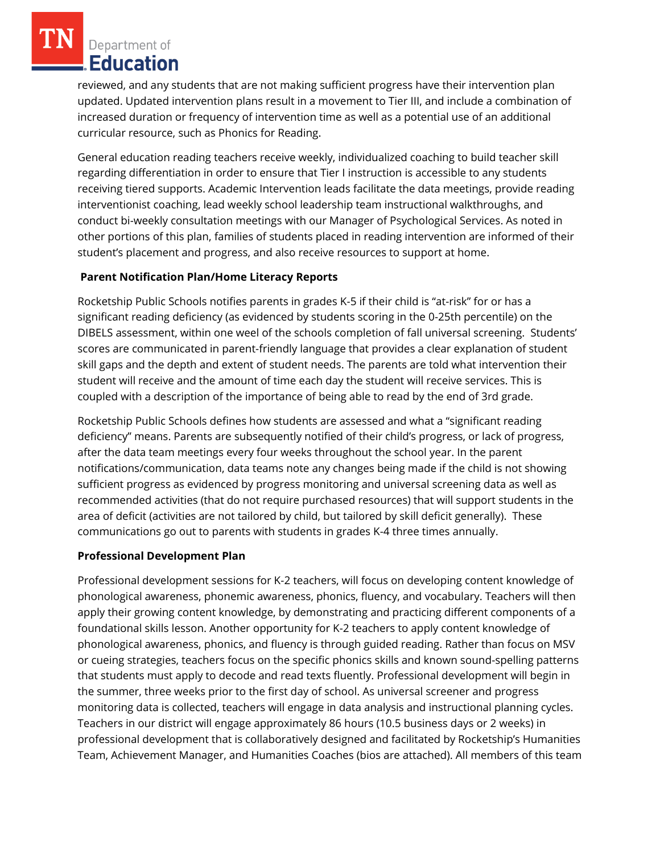reviewed, and any students that are not making sufficient progress have their intervention plan updated. Updated intervention plans result in a movement to Tier III, and include a combination of increased duration or frequency of intervention time as well as a potential use of an additional curricular resource, such as Phonics for Reading.

General education reading teachers receive weekly, individualized coaching to build teacher skill regarding differentiation in order to ensure that Tier I instruction is accessible to any students receiving tiered supports. Academic Intervention leads facilitate the data meetings, provide reading interventionist coaching, lead weekly school leadership team instructional walkthroughs, and conduct bi-weekly consultation meetings with our Manager of Psychological Services. As noted in other portions of this plan, families of students placed in reading intervention are informed of their student's placement and progress, and also receive resources to support at home.

## **Parent Notification Plan/Home Literacy Reports**

Rocketship Public Schools notifies parents in grades K-5 if their child is "at-risk" for or has a significant reading deficiency (as evidenced by students scoring in the 0-25th percentile) on the DIBELS assessment, within one weel of the schools completion of fall universal screening. Students' scores are communicated in parent-friendly language that provides a clear explanation of student skill gaps and the depth and extent of student needs. The parents are told what intervention their student will receive and the amount of time each day the student will receive services. This is coupled with a description of the importance of being able to read by the end of 3rd grade.

Rocketship Public Schools defines how students are assessed and what a "significant reading deficiency" means. Parents are subsequently notified of their child's progress, or lack of progress, after the data team meetings every four weeks throughout the school year. In the parent notifications/communication, data teams note any changes being made if the child is not showing sufficient progress as evidenced by progress monitoring and universal screening data as well as recommended activities (that do not require purchased resources) that will support students in the area of deficit (activities are not tailored by child, but tailored by skill deficit generally). These communications go out to parents with students in grades K-4 three times annually.

#### **Professional Development Plan**

Professional development sessions for K-2 teachers, will focus on developing content knowledge of phonological awareness, phonemic awareness, phonics, fluency, and vocabulary. Teachers will then apply their growing content knowledge, by demonstrating and practicing different components of a foundational skills lesson. Another opportunity for K-2 teachers to apply content knowledge of phonological awareness, phonics, and fluency is through guided reading. Rather than focus on MSV or cueing strategies, teachers focus on the specific phonics skills and known sound-spelling patterns that students must apply to decode and read texts fluently. Professional development will begin in the summer, three weeks prior to the first day of school. As universal screener and progress monitoring data is collected, teachers will engage in data analysis and instructional planning cycles. Teachers in our district will engage approximately 86 hours (10.5 business days or 2 weeks) in professional development that is collaboratively designed and facilitated by Rocketship's Humanities Team, Achievement Manager, and Humanities Coaches (bios are attached). All members of this team